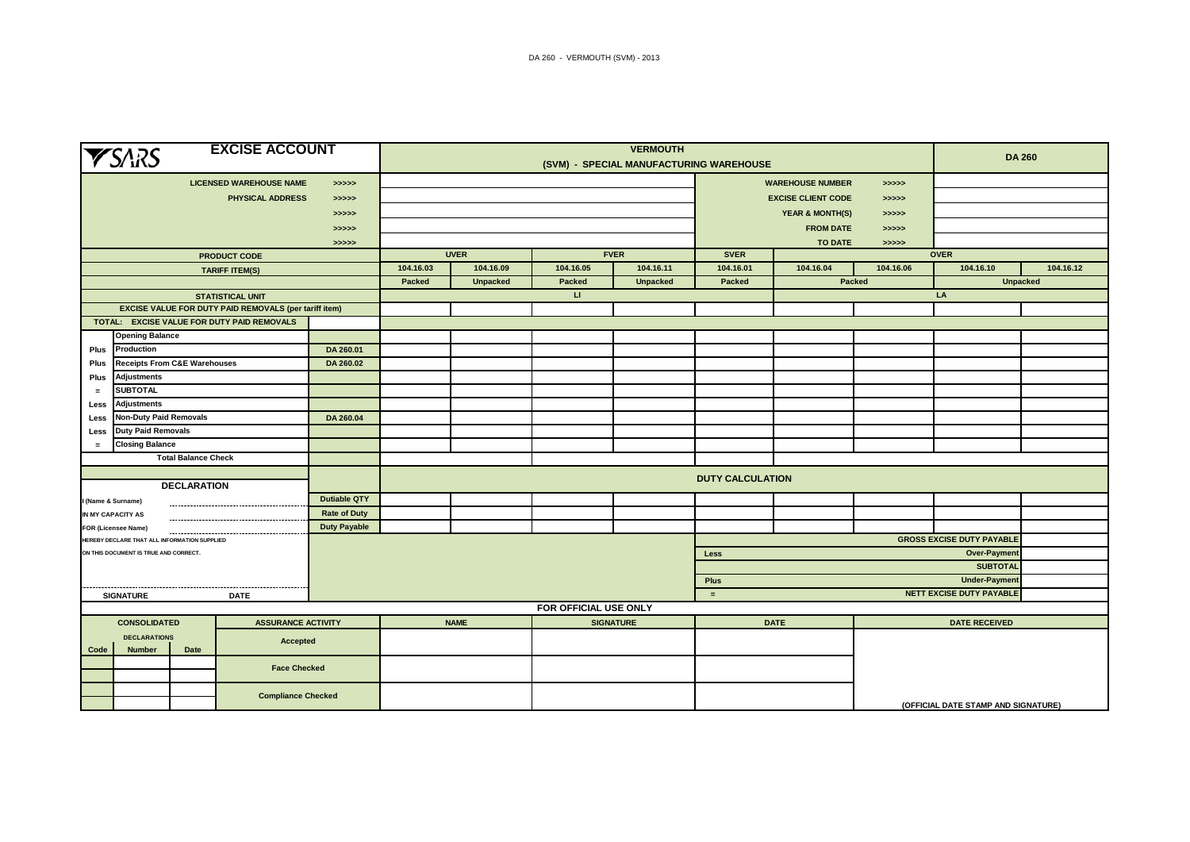| <b>YSARS</b>                                                     | <b>VERMOUTH</b>                                       |                     |                                         |                 |                       |                  |                                             |                            | <b>DA 260</b>                       |           |                 |  |  |
|------------------------------------------------------------------|-------------------------------------------------------|---------------------|-----------------------------------------|-----------------|-----------------------|------------------|---------------------------------------------|----------------------------|-------------------------------------|-----------|-----------------|--|--|
|                                                                  |                                                       |                     | (SVM) - SPECIAL MANUFACTURING WAREHOUSE |                 |                       |                  |                                             |                            |                                     |           |                 |  |  |
|                                                                  | <b>LICENSED WAREHOUSE NAME</b>                        | > >> > >            |                                         |                 |                       |                  |                                             | <b>WAREHOUSE NUMBER</b>    | >>>>>                               |           |                 |  |  |
|                                                                  | <b>PHYSICAL ADDRESS</b>                               | > >> > >            |                                         |                 |                       |                  |                                             | <b>EXCISE CLIENT CODE</b>  | >>>>>                               |           |                 |  |  |
| > >> > >                                                         |                                                       |                     |                                         |                 |                       |                  |                                             | <b>YEAR &amp; MONTH(S)</b> | >>>>>                               |           |                 |  |  |
|                                                                  |                                                       |                     |                                         |                 |                       | <b>FROM DATE</b> | >>>>>                                       |                            |                                     |           |                 |  |  |
| >>>>><br>>>>>>                                                   |                                                       |                     |                                         |                 |                       |                  | <b>TO DATE</b><br>>>>>>                     |                            |                                     |           |                 |  |  |
| <b>PRODUCT CODE</b>                                              |                                                       |                     | <b>UVER</b><br><b>FVER</b>              |                 |                       |                  |                                             | <b>SVER</b><br><b>OVER</b> |                                     |           |                 |  |  |
|                                                                  | <b>TARIFF ITEM(S)</b>                                 |                     | 104.16.03                               | 104.16.09       | 104.16.05             | 104.16.11        | 104.16.01                                   | 104.16.04                  | 104.16.06                           | 104.16.10 | 104.16.12       |  |  |
|                                                                  |                                                       |                     | Packed                                  | <b>Unpacked</b> | Packed                | <b>Unpacked</b>  | Packed                                      |                            | Packed                              |           | <b>Unpacked</b> |  |  |
|                                                                  | <b>STATISTICAL UNIT</b>                               |                     |                                         |                 | $\mathbf{H}$          |                  |                                             |                            |                                     | LA        |                 |  |  |
|                                                                  | EXCISE VALUE FOR DUTY PAID REMOVALS (per tariff item) |                     |                                         |                 |                       |                  |                                             |                            |                                     |           |                 |  |  |
| TOTAL: EXCISE VALUE FOR DUTY PAID REMOVALS                       |                                                       |                     |                                         |                 |                       |                  |                                             |                            |                                     |           |                 |  |  |
| <b>Opening Balance</b>                                           |                                                       |                     |                                         |                 |                       |                  |                                             |                            |                                     |           |                 |  |  |
| Production<br>Plus                                               |                                                       | DA 260.01           |                                         |                 |                       |                  |                                             |                            |                                     |           |                 |  |  |
| <b>Receipts From C&amp;E Warehouses</b><br>Plus                  |                                                       | DA 260.02           |                                         |                 |                       |                  |                                             |                            |                                     |           |                 |  |  |
| Adjustments<br>Plus                                              |                                                       |                     |                                         |                 |                       |                  |                                             |                            |                                     |           |                 |  |  |
| <b>SUBTOTAL</b><br>$=$                                           |                                                       |                     |                                         |                 |                       |                  |                                             |                            |                                     |           |                 |  |  |
| Less                                                             | Adjustments                                           |                     |                                         |                 |                       |                  |                                             |                            |                                     |           |                 |  |  |
| Less                                                             | <b>Non-Duty Paid Removals</b>                         |                     |                                         |                 |                       |                  |                                             |                            |                                     |           |                 |  |  |
| <b>Duty Paid Removals</b><br>Less                                |                                                       |                     |                                         |                 |                       |                  |                                             |                            |                                     |           |                 |  |  |
| <b>Closing Balance</b><br>$=$                                    |                                                       |                     |                                         |                 |                       |                  |                                             |                            |                                     |           |                 |  |  |
| <b>Total Balance Check</b>                                       |                                                       |                     |                                         |                 |                       |                  |                                             |                            |                                     |           |                 |  |  |
| <b>DECLARATION</b>                                               |                                                       |                     | <b>DUTY CALCULATION</b>                 |                 |                       |                  |                                             |                            |                                     |           |                 |  |  |
| (Name & Surname)                                                 |                                                       | <b>Dutiable QTY</b> |                                         |                 |                       |                  |                                             |                            |                                     |           |                 |  |  |
| IN MY CAPACITY AS                                                |                                                       | <b>Rate of Duty</b> |                                         |                 |                       |                  |                                             |                            |                                     |           |                 |  |  |
| FOR (Licensee Name)                                              |                                                       | <b>Duty Payable</b> |                                         |                 |                       |                  |                                             |                            |                                     |           |                 |  |  |
| HEREBY DECLARE THAT ALL INFORMATION SUPPLIED                     |                                                       |                     |                                         |                 |                       |                  | <b>GROSS EXCISE DUTY PAYABLE</b>            |                            |                                     |           |                 |  |  |
| ON THIS DOCUMENT IS TRUE AND CORRECT.                            |                                                       |                     |                                         |                 |                       |                  | <b>Over-Payment</b><br><b>Less</b>          |                            |                                     |           |                 |  |  |
|                                                                  |                                                       |                     |                                         |                 |                       |                  | <b>SUBTOTAL</b>                             |                            |                                     |           |                 |  |  |
|                                                                  |                                                       |                     |                                         |                 |                       |                  | <b>Plus</b>                                 |                            | Under-Payment                       |           |                 |  |  |
| <b>SIGNATURE</b>                                                 | <b>DATE</b>                                           |                     |                                         |                 |                       |                  | <b>NETT EXCISE DUTY PAYABLE</b><br>$\equiv$ |                            |                                     |           |                 |  |  |
|                                                                  |                                                       |                     |                                         |                 | FOR OFFICIAL USE ONLY |                  |                                             |                            |                                     |           |                 |  |  |
| <b>CONSOLIDATED</b><br><b>ASSURANCE ACTIVITY</b>                 |                                                       |                     | <b>NAME</b>                             |                 | <b>SIGNATURE</b>      |                  | <b>DATE</b>                                 |                            | <b>DATE RECEIVED</b>                |           |                 |  |  |
| <b>DECLARATIONS</b><br>Accepted<br><b>Number</b><br>Date<br>Code |                                                       |                     |                                         |                 |                       |                  |                                             |                            |                                     |           |                 |  |  |
|                                                                  | <b>Face Checked</b>                                   |                     |                                         |                 |                       |                  |                                             |                            |                                     |           |                 |  |  |
|                                                                  | <b>Compliance Checked</b>                             |                     |                                         |                 |                       |                  |                                             |                            | (OFFICIAL DATE STAMP AND SIGNATURE) |           |                 |  |  |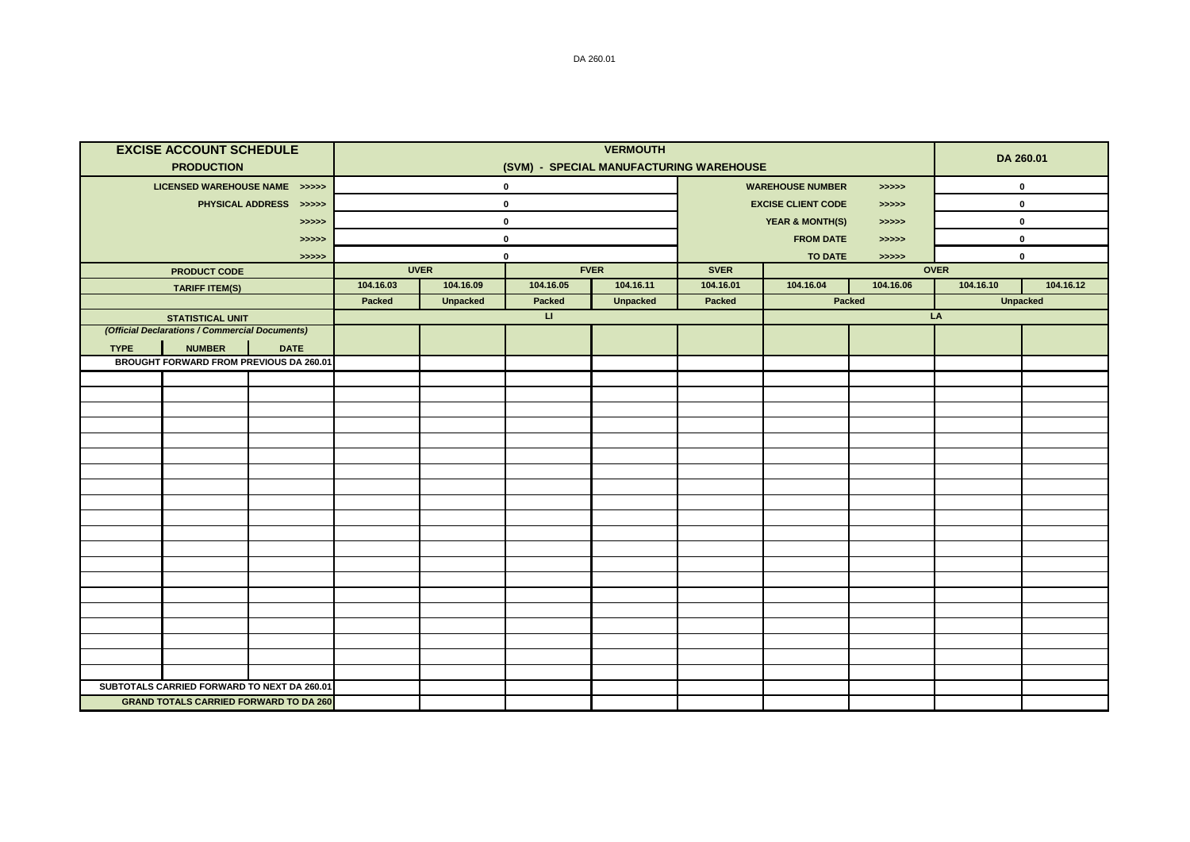|                               | <b>EXCISE ACCOUNT SCHEDULE</b><br><b>PRODUCTION</b> |                                               |           | DA 260.01       |                        |                 |                                             |                            |                      |             |                 |  |
|-------------------------------|-----------------------------------------------------|-----------------------------------------------|-----------|-----------------|------------------------|-----------------|---------------------------------------------|----------------------------|----------------------|-------------|-----------------|--|
| LICENSED WAREHOUSE NAME >>>>> |                                                     |                                               |           |                 | $\mathbf 0$            |                 | (SVM) - SPECIAL MANUFACTURING WAREHOUSE     | <b>WAREHOUSE NUMBER</b>    | $\pmb{0}$            |             |                 |  |
| PHYSICAL ADDRESS >>>>>        |                                                     |                                               |           |                 | $\mathbf 0$            |                 | >>>>><br><b>EXCISE CLIENT CODE</b><br>>>>>> |                            |                      | $\pmb{0}$   |                 |  |
| >>>>>                         |                                                     |                                               |           |                 | $\mathbf 0$            |                 |                                             | <b>YEAR &amp; MONTH(S)</b> | >>>>>                |             | $\pmb{0}$       |  |
|                               |                                                     | >>>>>                                         |           | $\mathbf 0$     |                        |                 | <b>FROM DATE</b>                            |                            |                      | $\mathbf 0$ |                 |  |
|                               |                                                     | >>>>>                                         |           | $\mathbf 0$     |                        |                 | >>>>><br><b>TO DATE</b>                     |                            |                      | $\mathbf 0$ |                 |  |
|                               | <b>PRODUCT CODE</b>                                 |                                               |           | <b>UVER</b>     |                        | <b>FVER</b>     | <b>SVER</b>                                 |                            | >>>>><br><b>OVER</b> |             |                 |  |
|                               | <b>TARIFF ITEM(S)</b>                               |                                               | 104.16.03 | 104.16.09       | 104.16.05              | 104.16.11       | 104.16.01                                   | 104.16.04                  | 104.16.06            | 104.16.10   | 104.16.12       |  |
|                               |                                                     |                                               | Packed    | <b>Unpacked</b> | Packed                 | <b>Unpacked</b> | <b>Packed</b>                               |                            | Packed               |             | <b>Unpacked</b> |  |
|                               | <b>STATISTICAL UNIT</b>                             |                                               |           |                 | $\mathbf{L}\mathbf{L}$ |                 |                                             |                            |                      | LA          |                 |  |
|                               | (Official Declarations / Commercial Documents)      |                                               |           |                 |                        |                 |                                             |                            |                      |             |                 |  |
| <b>TYPE</b>                   | <b>NUMBER</b>                                       | <b>DATE</b>                                   |           |                 |                        |                 |                                             |                            |                      |             |                 |  |
|                               | <b>BROUGHT FORWARD FROM PREVIOUS DA 260.01</b>      |                                               |           |                 |                        |                 |                                             |                            |                      |             |                 |  |
|                               |                                                     |                                               |           |                 |                        |                 |                                             |                            |                      |             |                 |  |
|                               |                                                     |                                               |           |                 |                        |                 |                                             |                            |                      |             |                 |  |
|                               |                                                     |                                               |           |                 |                        |                 |                                             |                            |                      |             |                 |  |
|                               |                                                     |                                               |           |                 |                        |                 |                                             |                            |                      |             |                 |  |
|                               |                                                     |                                               |           |                 |                        |                 |                                             |                            |                      |             |                 |  |
|                               |                                                     |                                               |           |                 |                        |                 |                                             |                            |                      |             |                 |  |
|                               |                                                     |                                               |           |                 |                        |                 |                                             |                            |                      |             |                 |  |
|                               |                                                     |                                               |           |                 |                        |                 |                                             |                            |                      |             |                 |  |
|                               |                                                     |                                               |           |                 |                        |                 |                                             |                            |                      |             |                 |  |
|                               |                                                     |                                               |           |                 |                        |                 |                                             |                            |                      |             |                 |  |
|                               |                                                     |                                               |           |                 |                        |                 |                                             |                            |                      |             |                 |  |
|                               |                                                     |                                               |           |                 |                        |                 |                                             |                            |                      |             |                 |  |
|                               |                                                     |                                               |           |                 |                        |                 |                                             |                            |                      |             |                 |  |
|                               |                                                     |                                               |           |                 |                        |                 |                                             |                            |                      |             |                 |  |
|                               |                                                     |                                               |           |                 |                        |                 |                                             |                            |                      |             |                 |  |
|                               |                                                     |                                               |           |                 |                        |                 |                                             |                            |                      |             |                 |  |
|                               |                                                     |                                               |           |                 |                        |                 |                                             |                            |                      |             |                 |  |
|                               |                                                     |                                               |           |                 |                        |                 |                                             |                            |                      |             |                 |  |
|                               | SUBTOTALS CARRIED FORWARD TO NEXT DA 260.01         |                                               |           |                 |                        |                 |                                             |                            |                      |             |                 |  |
|                               |                                                     | <b>GRAND TOTALS CARRIED FORWARD TO DA 260</b> |           |                 |                        |                 |                                             |                            |                      |             |                 |  |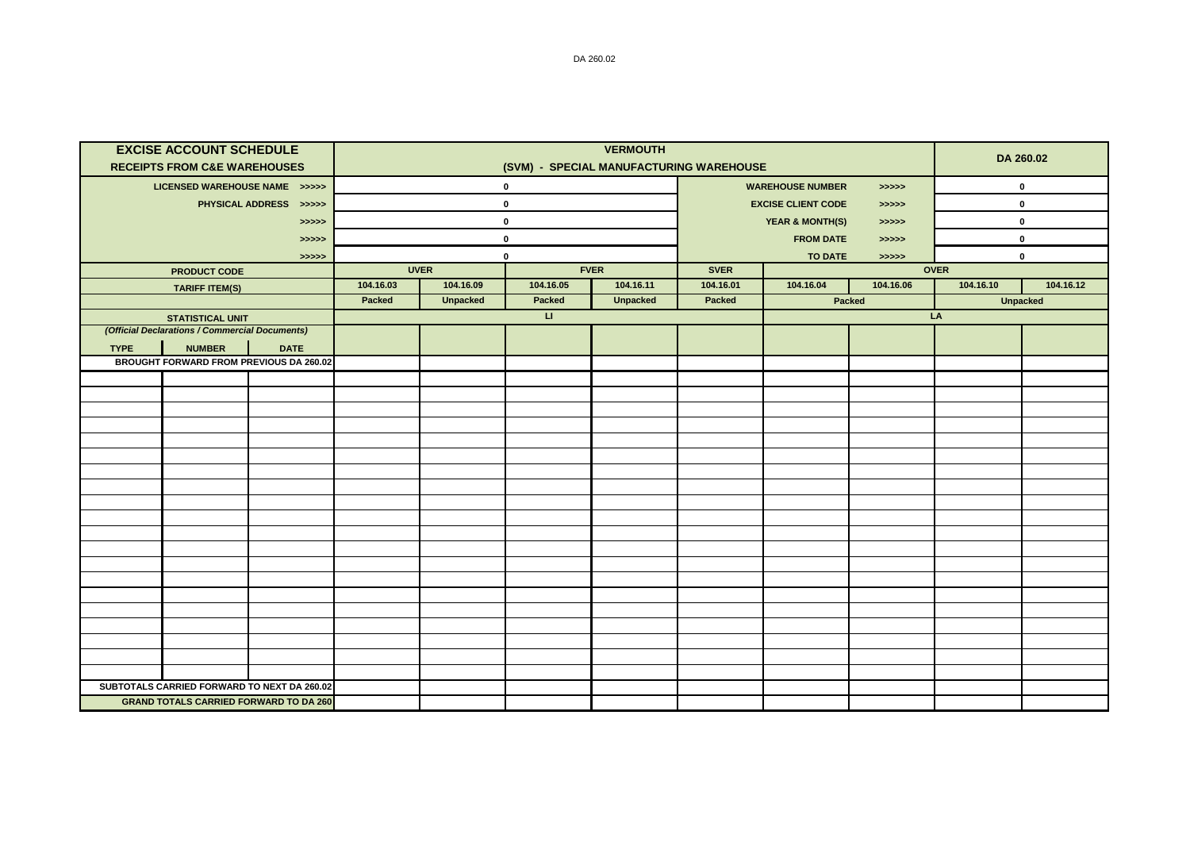|                        | <b>EXCISE ACCOUNT SCHEDULE</b><br><b>RECEIPTS FROM C&amp;E WAREHOUSES</b> |                                                                                              |           |                 | DA 260.02    |                 |                                     |                                    |           |             |                 |  |
|------------------------|---------------------------------------------------------------------------|----------------------------------------------------------------------------------------------|-----------|-----------------|--------------|-----------------|-------------------------------------|------------------------------------|-----------|-------------|-----------------|--|
|                        | LICENSED WAREHOUSE NAME >>>>>                                             |                                                                                              |           |                 | $\pmb{0}$    |                 | <b>WAREHOUSE NUMBER</b><br>> >> > > |                                    |           | $\mathbf 0$ |                 |  |
| PHYSICAL ADDRESS >>>>> |                                                                           |                                                                                              |           |                 | $\mathbf 0$  |                 |                                     | <b>EXCISE CLIENT CODE</b><br>>>>>> |           |             | 0               |  |
| >>>>>                  |                                                                           |                                                                                              |           |                 | $\mathbf 0$  |                 |                                     | <b>YEAR &amp; MONTH(S)</b>         | >>>>>     |             | 0               |  |
|                        |                                                                           | >>>>>                                                                                        |           | $\mathbf 0$     |              |                 | <b>FROM DATE</b><br>> >> > >        |                                    |           | 0           |                 |  |
| >>>>>                  |                                                                           |                                                                                              |           | $\mathbf 0$     |              |                 |                                     | <b>TO DATE</b>                     | >>>>>     | 0           |                 |  |
|                        | <b>PRODUCT CODE</b>                                                       |                                                                                              |           | <b>UVER</b>     |              | <b>FVER</b>     | <b>SVER</b>                         |                                    |           | <b>OVER</b> |                 |  |
|                        | <b>TARIFF ITEM(S)</b>                                                     |                                                                                              | 104.16.03 | 104.16.09       | 104.16.05    | 104.16.11       | 104.16.01                           | 104.16.04                          | 104.16.06 | 104.16.10   | 104.16.12       |  |
|                        |                                                                           |                                                                                              | Packed    | <b>Unpacked</b> | Packed       | <b>Unpacked</b> | <b>Packed</b>                       |                                    | Packed    |             | <b>Unpacked</b> |  |
|                        | <b>STATISTICAL UNIT</b><br>(Official Declarations / Commercial Documents) |                                                                                              |           |                 | $\mathbf{H}$ |                 |                                     |                                    |           | LA          |                 |  |
|                        |                                                                           |                                                                                              |           |                 |              |                 |                                     |                                    |           |             |                 |  |
| <b>TYPE</b>            | <b>NUMBER</b>                                                             | <b>DATE</b><br>BROUGHT FORWARD FROM PREVIOUS DA 260.02                                       |           |                 |              |                 |                                     |                                    |           |             |                 |  |
|                        |                                                                           |                                                                                              |           |                 |              |                 |                                     |                                    |           |             |                 |  |
|                        |                                                                           |                                                                                              |           |                 |              |                 |                                     |                                    |           |             |                 |  |
|                        |                                                                           |                                                                                              |           |                 |              |                 |                                     |                                    |           |             |                 |  |
|                        |                                                                           |                                                                                              |           |                 |              |                 |                                     |                                    |           |             |                 |  |
|                        |                                                                           |                                                                                              |           |                 |              |                 |                                     |                                    |           |             |                 |  |
|                        |                                                                           |                                                                                              |           |                 |              |                 |                                     |                                    |           |             |                 |  |
|                        |                                                                           |                                                                                              |           |                 |              |                 |                                     |                                    |           |             |                 |  |
|                        |                                                                           |                                                                                              |           |                 |              |                 |                                     |                                    |           |             |                 |  |
|                        |                                                                           |                                                                                              |           |                 |              |                 |                                     |                                    |           |             |                 |  |
|                        |                                                                           |                                                                                              |           |                 |              |                 |                                     |                                    |           |             |                 |  |
|                        |                                                                           |                                                                                              |           |                 |              |                 |                                     |                                    |           |             |                 |  |
|                        |                                                                           |                                                                                              |           |                 |              |                 |                                     |                                    |           |             |                 |  |
|                        |                                                                           |                                                                                              |           |                 |              |                 |                                     |                                    |           |             |                 |  |
|                        |                                                                           |                                                                                              |           |                 |              |                 |                                     |                                    |           |             |                 |  |
|                        |                                                                           |                                                                                              |           |                 |              |                 |                                     |                                    |           |             |                 |  |
|                        |                                                                           |                                                                                              |           |                 |              |                 |                                     |                                    |           |             |                 |  |
|                        |                                                                           |                                                                                              |           |                 |              |                 |                                     |                                    |           |             |                 |  |
|                        |                                                                           |                                                                                              |           |                 |              |                 |                                     |                                    |           |             |                 |  |
|                        |                                                                           |                                                                                              |           |                 |              |                 |                                     |                                    |           |             |                 |  |
|                        |                                                                           | SUBTOTALS CARRIED FORWARD TO NEXT DA 260.02<br><b>GRAND TOTALS CARRIED FORWARD TO DA 260</b> |           |                 |              |                 |                                     |                                    |           |             |                 |  |
|                        |                                                                           |                                                                                              |           |                 |              |                 |                                     |                                    |           |             |                 |  |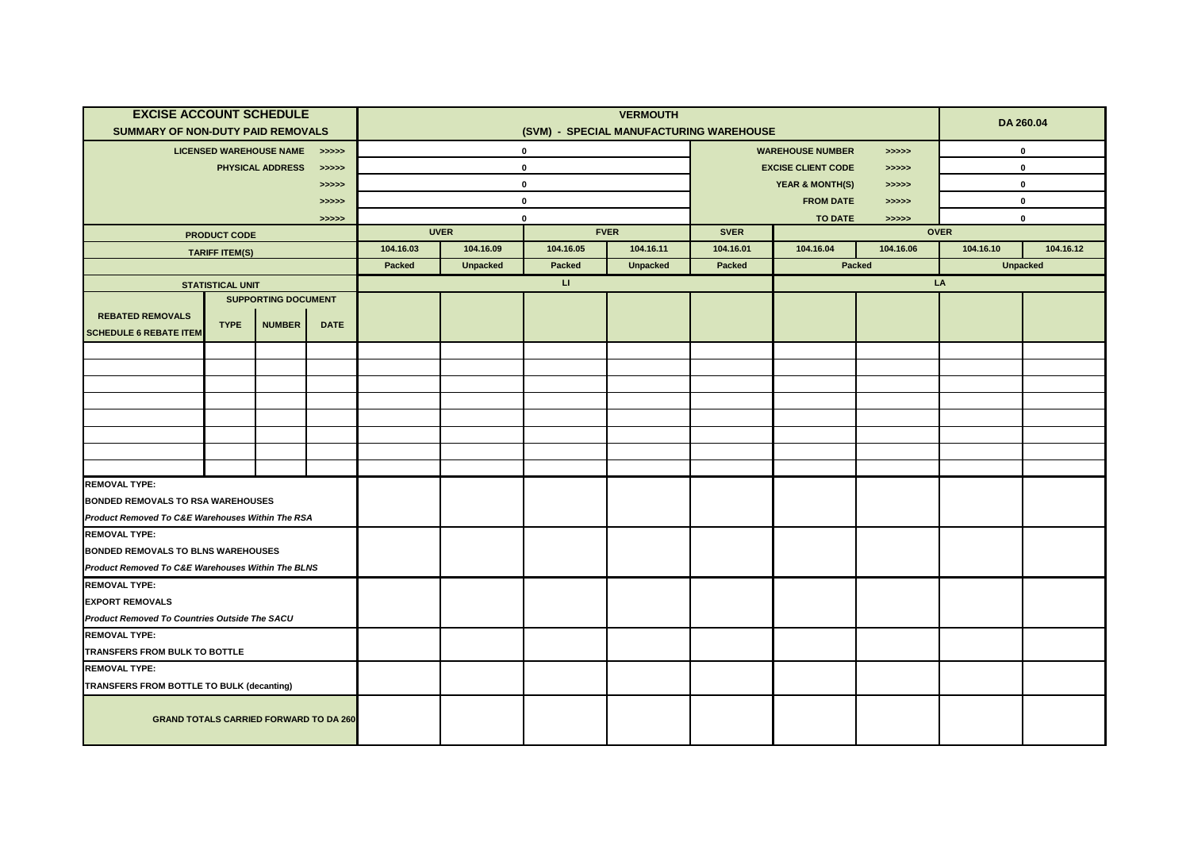| <b>EXCISE ACCOUNT SCHEDULE</b><br>SUMMARY OF NON-DUTY PAID REMOVALS |                         |                               |             | <b>VERMOUTH</b><br>(SVM) - SPECIAL MANUFACTURING WAREHOUSE |                 |              |                 |                                     |                            |           |             | DA 260.04       |  |
|---------------------------------------------------------------------|-------------------------|-------------------------------|-------------|------------------------------------------------------------|-----------------|--------------|-----------------|-------------------------------------|----------------------------|-----------|-------------|-----------------|--|
|                                                                     |                         |                               |             |                                                            |                 |              |                 |                                     |                            |           |             |                 |  |
|                                                                     |                         | LICENSED WAREHOUSE NAME >>>>> |             |                                                            |                 | $\mathbf{0}$ |                 | <b>WAREHOUSE NUMBER</b><br>> >> > > |                            |           | 0           |                 |  |
|                                                                     |                         | PHYSICAL ADDRESS              | > >> > > >  |                                                            |                 | $\mathbf 0$  |                 |                                     | <b>EXCISE CLIENT CODE</b>  | >>>>>     | $\mathbf 0$ |                 |  |
|                                                                     |                         |                               | >>>>>       | $\mathbf 0$                                                |                 |              |                 |                                     | <b>YEAR &amp; MONTH(S)</b> | >>>>>     | $\mathbf 0$ |                 |  |
| >>>>>                                                               |                         |                               |             |                                                            |                 | $\mathbf 0$  |                 |                                     | <b>FROM DATE</b>           | > >> > >  | 0           |                 |  |
| > >> > >                                                            |                         |                               |             |                                                            |                 | $\mathbf 0$  |                 |                                     | <b>TO DATE</b>             | >>>>>     | $\mathbf 0$ |                 |  |
| <b>PRODUCT CODE</b>                                                 |                         |                               |             | <b>UVER</b>                                                |                 |              | <b>FVER</b>     | <b>SVER</b>                         |                            |           | <b>OVER</b> |                 |  |
|                                                                     | <b>TARIFF ITEM(S)</b>   |                               |             | 104.16.03                                                  | 104.16.09       | 104.16.05    | 104.16.11       | 104.16.01                           | 104.16.04                  | 104.16.06 | 104.16.10   | 104.16.12       |  |
|                                                                     |                         |                               |             | Packed                                                     | <b>Unpacked</b> | Packed       | <b>Unpacked</b> | Packed                              |                            | Packed    |             | <b>Unpacked</b> |  |
|                                                                     | <b>STATISTICAL UNIT</b> |                               |             |                                                            |                 | $\mathbf{H}$ |                 |                                     |                            |           | LA          |                 |  |
|                                                                     |                         | <b>SUPPORTING DOCUMENT</b>    |             |                                                            |                 |              |                 |                                     |                            |           |             |                 |  |
| <b>REBATED REMOVALS</b>                                             | <b>TYPE</b>             | <b>NUMBER</b>                 | <b>DATE</b> |                                                            |                 |              |                 |                                     |                            |           |             |                 |  |
| <b>SCHEDULE 6 REBATE ITEM</b>                                       |                         |                               |             |                                                            |                 |              |                 |                                     |                            |           |             |                 |  |
|                                                                     |                         |                               |             |                                                            |                 |              |                 |                                     |                            |           |             |                 |  |
|                                                                     |                         |                               |             |                                                            |                 |              |                 |                                     |                            |           |             |                 |  |
|                                                                     |                         |                               |             |                                                            |                 |              |                 |                                     |                            |           |             |                 |  |
|                                                                     |                         |                               |             |                                                            |                 |              |                 |                                     |                            |           |             |                 |  |
|                                                                     |                         |                               |             |                                                            |                 |              |                 |                                     |                            |           |             |                 |  |
|                                                                     |                         |                               |             |                                                            |                 |              |                 |                                     |                            |           |             |                 |  |
|                                                                     |                         |                               |             |                                                            |                 |              |                 |                                     |                            |           |             |                 |  |
|                                                                     |                         |                               |             |                                                            |                 |              |                 |                                     |                            |           |             |                 |  |
| <b>REMOVAL TYPE:</b>                                                |                         |                               |             |                                                            |                 |              |                 |                                     |                            |           |             |                 |  |
| <b>BONDED REMOVALS TO RSA WAREHOUSES</b>                            |                         |                               |             |                                                            |                 |              |                 |                                     |                            |           |             |                 |  |
| Product Removed To C&E Warehouses Within The RSA                    |                         |                               |             |                                                            |                 |              |                 |                                     |                            |           |             |                 |  |
| <b>REMOVAL TYPE:</b>                                                |                         |                               |             |                                                            |                 |              |                 |                                     |                            |           |             |                 |  |
| BONDED REMOVALS TO BLNS WAREHOUSES                                  |                         |                               |             |                                                            |                 |              |                 |                                     |                            |           |             |                 |  |
| Product Removed To C&E Warehouses Within The BLNS                   |                         |                               |             |                                                            |                 |              |                 |                                     |                            |           |             |                 |  |
| <b>REMOVAL TYPE:</b>                                                |                         |                               |             |                                                            |                 |              |                 |                                     |                            |           |             |                 |  |
| <b>EXPORT REMOVALS</b>                                              |                         |                               |             |                                                            |                 |              |                 |                                     |                            |           |             |                 |  |
| Product Removed To Countries Outside The SACU                       |                         |                               |             |                                                            |                 |              |                 |                                     |                            |           |             |                 |  |
| <b>REMOVAL TYPE:</b>                                                |                         |                               |             |                                                            |                 |              |                 |                                     |                            |           |             |                 |  |
| TRANSFERS FROM BULK TO BOTTLE                                       |                         |                               |             |                                                            |                 |              |                 |                                     |                            |           |             |                 |  |
| <b>REMOVAL TYPE:</b>                                                |                         |                               |             |                                                            |                 |              |                 |                                     |                            |           |             |                 |  |
| TRANSFERS FROM BOTTLE TO BULK (decanting)                           |                         |                               |             |                                                            |                 |              |                 |                                     |                            |           |             |                 |  |
| <b>GRAND TOTALS CARRIED FORWARD TO DA 260</b>                       |                         |                               |             |                                                            |                 |              |                 |                                     |                            |           |             |                 |  |